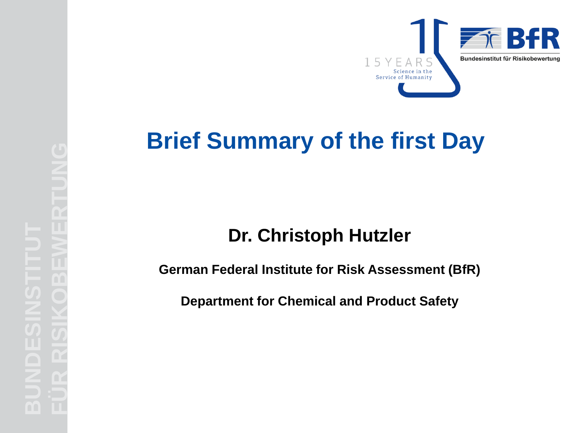

# **Brief Summary of the first Day**

### **Dr. Christoph Hutzler**

**German Federal Institute for Risk Assessment (BfR)**

**Department for Chemical and Product Safety**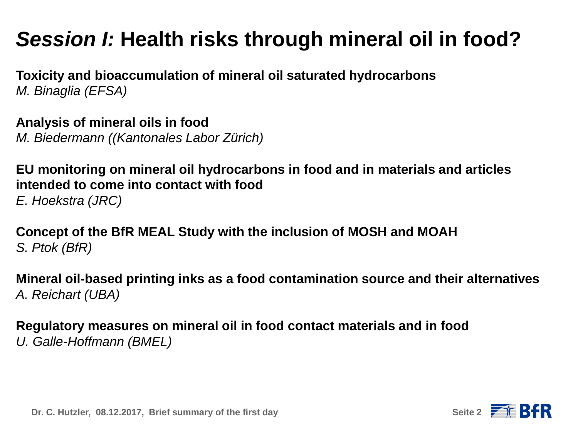# *Session I:* **Health risks through mineral oil in food?**

**Toxicity and bioaccumulation of mineral oil saturated hydrocarbons**  *M. Binaglia (EFSA)*

**Analysis of mineral oils in food**  *M. Biedermann ((Kantonales Labor Zürich)*

**EU monitoring on mineral oil hydrocarbons in food and in materials and articles intended to come into contact with food**  *E. Hoekstra (JRC)*

**Concept of the BfR MEAL Study with the inclusion of MOSH and MOAH**  *S. Ptok (BfR)*

**Mineral oil-based printing inks as a food contamination source and their alternatives** *A. Reichart (UBA)*

**Regulatory measures on mineral oil in food contact materials and in food**  *U. Galle-Hoffmann (BMEL)*

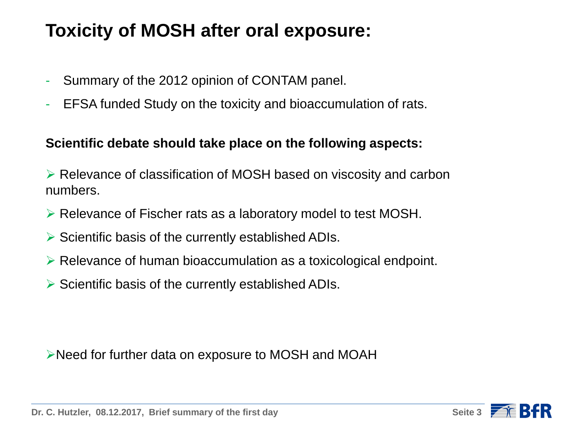### **Toxicity of MOSH after oral exposure:**

- Summary of the 2012 opinion of CONTAM panel.
- EFSA funded Study on the toxicity and bioaccumulation of rats.

#### **Scientific debate should take place on the following aspects:**

 Relevance of classification of MOSH based on viscosity and carbon numbers.

- $\triangleright$  Relevance of Fischer rats as a laboratory model to test MOSH.
- $\triangleright$  Scientific basis of the currently established ADIs.
- Relevance of human bioaccumulation as a toxicological endpoint.
- $\triangleright$  Scientific basis of the currently established ADIs.

Need for further data on exposure to MOSH and MOAH

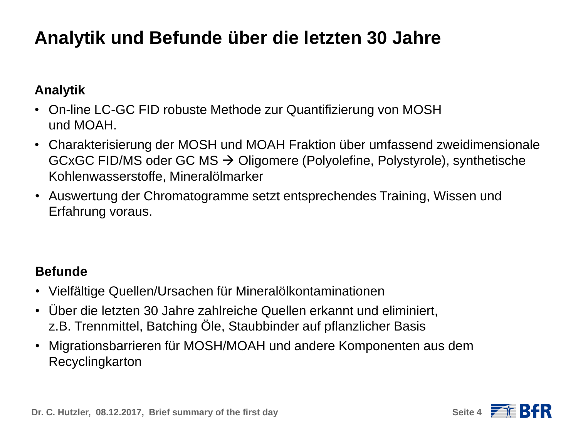# **Analytik und Befunde über die letzten 30 Jahre**

### **Analytik**

- On-line LC-GC FID robuste Methode zur Quantifizierung von MOSH und MOAH.
- Charakterisierung der MOSH und MOAH Fraktion über umfassend zweidimensionale GCxGC FID/MS oder GC MS  $\rightarrow$  Oligomere (Polyolefine, Polystyrole), synthetische Kohlenwasserstoffe, Mineralölmarker
- Auswertung der Chromatogramme setzt entsprechendes Training, Wissen und Erfahrung voraus.

### **Befunde**

- Vielfältige Quellen/Ursachen für Mineralölkontaminationen
- Über die letzten 30 Jahre zahlreiche Quellen erkannt und eliminiert, z.B. Trennmittel, Batching Öle, Staubbinder auf pflanzlicher Basis
- Migrationsbarrieren für MOSH/MOAH und andere Komponenten aus dem Recyclingkarton

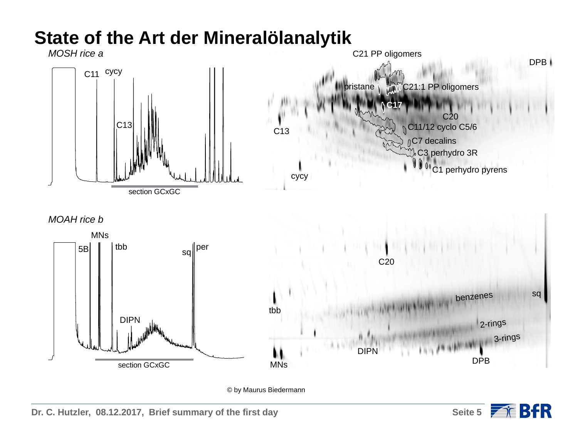

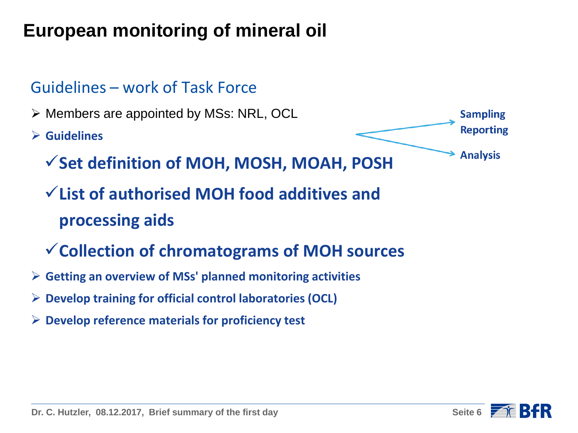# **European monitoring of mineral oil**

### Guidelines – work of Task Force

▶ Members are appointed by MSs: NRL, OCL

**Guidelines** 



- **Set definition of MOH, MOSH, MOAH, POSH**
- **List of authorised MOH food additives and processing aids**
- **Collection of chromatograms of MOH sources**
- **Getting an overview of MSs' planned monitoring activities**
- **Develop training for official control laboratories (OCL)**
- **Develop reference materials for proficiency test**

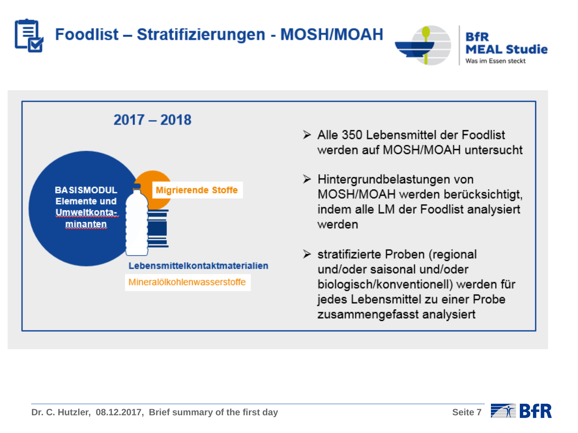







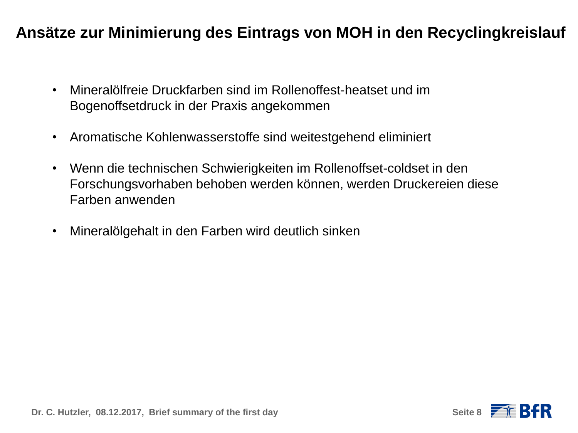### **Ansätze zur Minimierung des Eintrags von MOH in den Recyclingkreislauf**

- Mineralölfreie Druckfarben sind im Rollenoffest-heatset und im Bogenoffsetdruck in der Praxis angekommen
- Aromatische Kohlenwasserstoffe sind weitestgehend eliminiert
- Wenn die technischen Schwierigkeiten im Rollenoffset-coldset in den Forschungsvorhaben behoben werden können, werden Druckereien diese Farben anwenden
- Mineralölgehalt in den Farben wird deutlich sinken

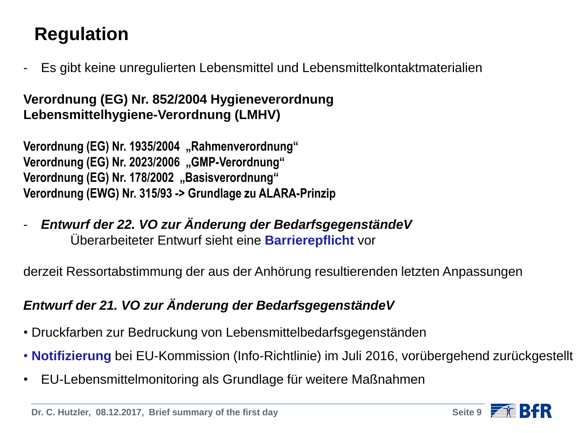# **Regulation**

- Es gibt keine unregulierten Lebensmittel und Lebensmittelkontaktmaterialien

### **Verordnung (EG) Nr. 852/2004 Hygieneverordnung Lebensmittelhygiene-Verordnung (LMHV)**

**Verordnung (EG) Nr. 1935/2004** "Rahmenverordnung" **Verordnung (EG) Nr. 2023/2006** "GMP-Verordnung" Verordnung (EG) Nr. 178/2002 "Basisverordnung" **Verordnung (EWG) Nr. 315/93 -> Grundlage zu ALARA-Prinzip**

- *Entwurf der 22. VO zur Änderung der BedarfsgegenständeV* Überarbeiteter Entwurf sieht eine **Barrierepflicht** vor

derzeit Ressortabstimmung der aus der Anhörung resultierenden letzten Anpassungen

### *Entwurf der 21. VO zur Änderung der BedarfsgegenständeV*

- Druckfarben zur Bedruckung von Lebensmittelbedarfsgegenständen
- **Notifizierung** bei EU-Kommission (Info-Richtlinie) im Juli 2016, vorübergehend zurückgestellt
- EU-Lebensmittelmonitoring als Grundlage für weitere Maßnahmen

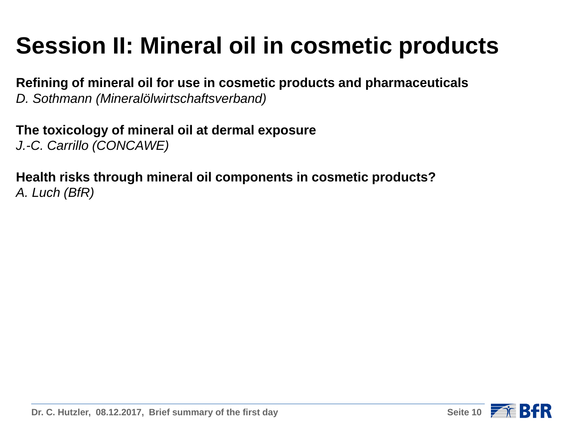# **Session II: Mineral oil in cosmetic products**

**Refining of mineral oil for use in cosmetic products and pharmaceuticals**  *D. Sothmann (Mineralölwirtschaftsverband)*

**The toxicology of mineral oil at dermal exposure**  *J.-C. Carrillo (CONCAWE)*

**Health risks through mineral oil components in cosmetic products?**  *A. Luch (BfR)*

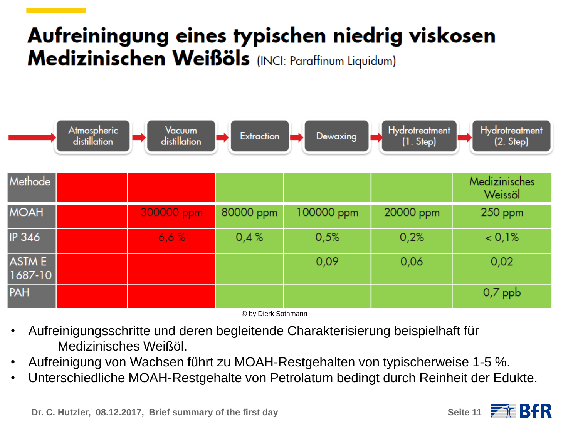# Aufreiningung eines typischen niedrig viskosen Medizinischen Weißöls (INCI: Paraffinum Liquidum)



© by Dierk Sothmann

- Aufreinigungsschritte und deren begleitende Charakterisierung beispielhaft für Medizinisches Weißöl.
- Aufreinigung von Wachsen führt zu MOAH-Restgehalten von typischerweise 1-5 %.
- Unterschiedliche MOAH-Restgehalte von Petrolatum bedingt durch Reinheit der Edukte.

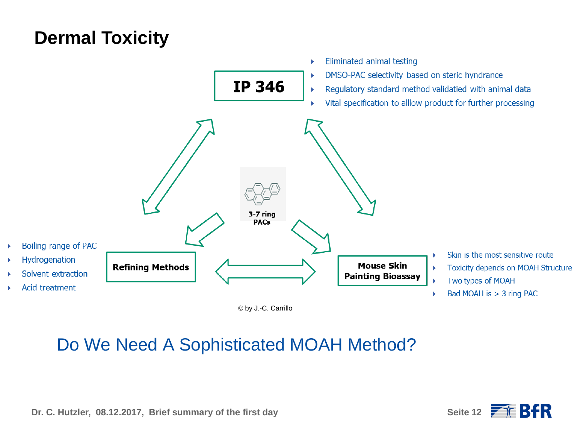## **Dermal Toxicity**



© by J.-C. Carrillo

### Do We Need A Sophisticated MOAH Method?

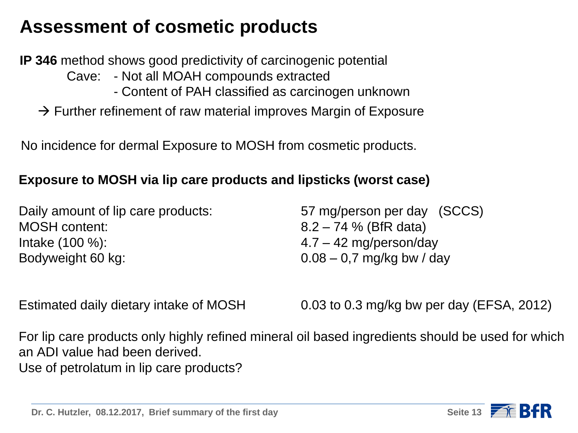### **Assessment of cosmetic products**

**IP 346** method shows good predictivity of carcinogenic potential

Cave: - Not all MOAH compounds extracted

- Content of PAH classified as carcinogen unknown
- $\rightarrow$  Further refinement of raw material improves Margin of Exposure

No incidence for dermal Exposure to MOSH from cosmetic products.

#### **Exposure to MOSH via lip care products and lipsticks (worst case)**

| Daily amount of lip care products: | 57 mg/person per day (SCCS) |
|------------------------------------|-----------------------------|
| <b>MOSH content:</b>               | $8.2 - 74$ % (BfR data)     |
| Intake $(100\%)$ :                 | $4.7 - 42$ mg/person/day    |
| Bodyweight 60 kg:                  | $0.08 - 0.7$ mg/kg bw / day |

Estimated daily dietary intake of MOSH 0.03 to 0.3 mg/kg bw per day (EFSA, 2012)

For lip care products only highly refined mineral oil based ingredients should be used for which an ADI value had been derived. Use of petrolatum in lip care products?

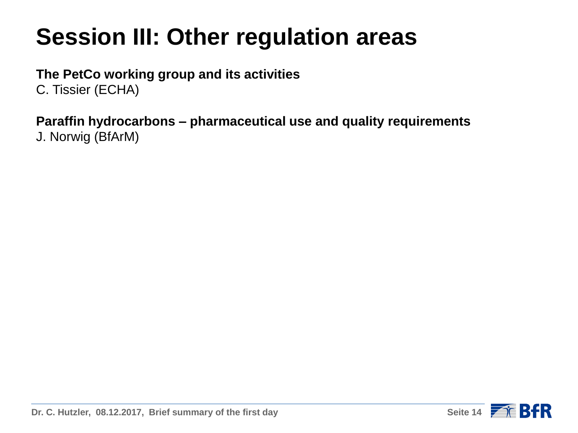# **Session III: Other regulation areas**

### **The PetCo working group and its activities**

C. Tissier (ECHA)

#### **Paraffin hydrocarbons – pharmaceutical use and quality requirements**  J. Norwig (BfArM)

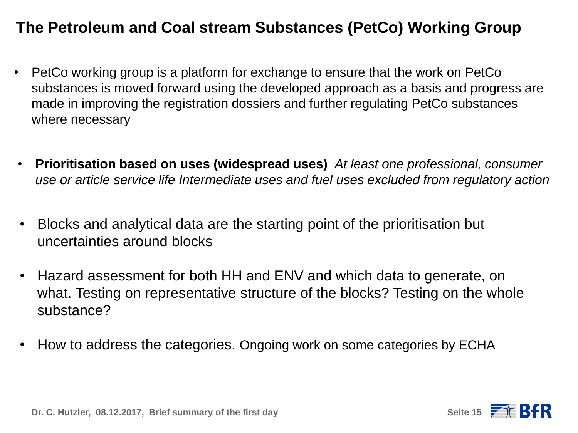### **The Petroleum and Coal stream Substances (PetCo) Working Group**

- PetCo working group is a platform for exchange to ensure that the work on PetCo substances is moved forward using the developed approach as a basis and progress are made in improving the registration dossiers and further regulating PetCo substances where necessary
- **Prioritisation based on uses (widespread uses)** *At least one professional, consumer use or article service life Intermediate uses and fuel uses excluded from regulatory action*
- Blocks and analytical data are the starting point of the prioritisation but uncertainties around blocks
- Hazard assessment for both HH and ENV and which data to generate, on what. Testing on representative structure of the blocks? Testing on the whole substance?
- How to address the categories. Ongoing work on some categories by ECHA

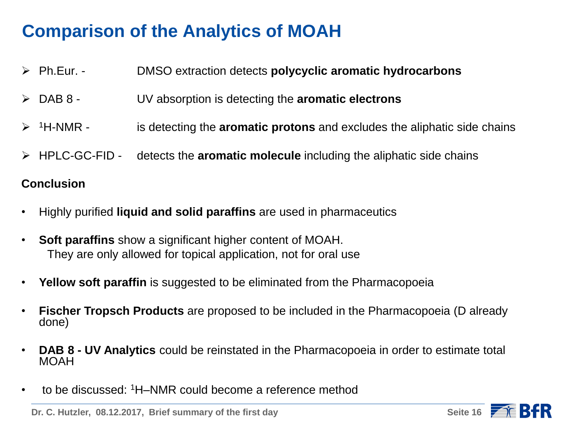### **Comparison of the Analytics of MOAH**

- Ph.Eur. DMSO extraction detects **polycyclic aromatic hydrocarbons**
- DAB 8 UV absorption is detecting the **aromatic electrons**
- <sup>1</sup>H-NMR is detecting the **aromatic protons** and excludes the aliphatic side chains
- HPLC-GC-FID detects the **aromatic molecule** including the aliphatic side chains

#### **Conclusion**

- Highly purified **liquid and solid paraffins** are used in pharmaceutics
- **Soft paraffins** show a significant higher content of MOAH. They are only allowed for topical application, not for oral use
- **Yellow soft paraffin** is suggested to be eliminated from the Pharmacopoeia
- **Fischer Tropsch Products** are proposed to be included in the Pharmacopoeia (D already done)
- **DAB 8 - UV Analytics** could be reinstated in the Pharmacopoeia in order to estimate total MOAH
- to be discussed: <sup>1</sup>H–NMR could become a reference method